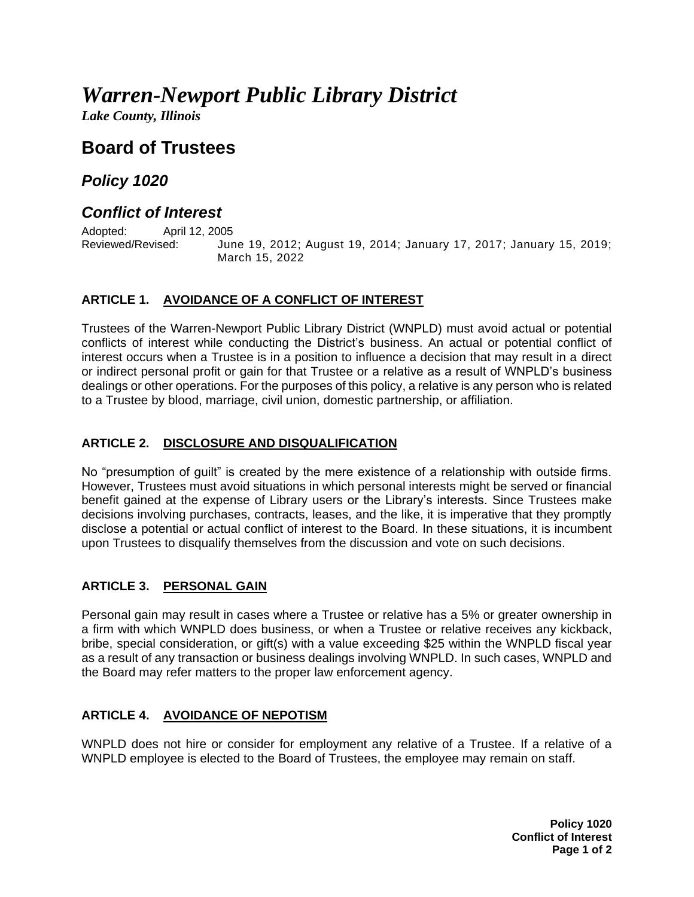# *Warren-Newport Public Library District*

*Lake County, Illinois*

# **Board of Trustees**

### *Policy 1020*

## *Conflict of Interest*

Adopted: April 12, 2005<br>Reviewed/Revised: Jur

June 19, 2012; August 19, 2014; January 17, 2017; January 15, 2019; March 15, 2022

#### **ARTICLE 1. AVOIDANCE OF A CONFLICT OF INTEREST**

Trustees of the Warren-Newport Public Library District (WNPLD) must avoid actual or potential conflicts of interest while conducting the District's business. An actual or potential conflict of interest occurs when a Trustee is in a position to influence a decision that may result in a direct or indirect personal profit or gain for that Trustee or a relative as a result of WNPLD's business dealings or other operations. For the purposes of this policy, a relative is any person who is related to a Trustee by blood, marriage, civil union, domestic partnership, or affiliation.

#### **ARTICLE 2. DISCLOSURE AND DISQUALIFICATION**

No "presumption of guilt" is created by the mere existence of a relationship with outside firms. However, Trustees must avoid situations in which personal interests might be served or financial benefit gained at the expense of Library users or the Library's interests. Since Trustees make decisions involving purchases, contracts, leases, and the like, it is imperative that they promptly disclose a potential or actual conflict of interest to the Board. In these situations, it is incumbent upon Trustees to disqualify themselves from the discussion and vote on such decisions.

#### **ARTICLE 3. PERSONAL GAIN**

Personal gain may result in cases where a Trustee or relative has a 5% or greater ownership in a firm with which WNPLD does business, or when a Trustee or relative receives any kickback, bribe, special consideration, or gift(s) with a value exceeding \$25 within the WNPLD fiscal year as a result of any transaction or business dealings involving WNPLD. In such cases, WNPLD and the Board may refer matters to the proper law enforcement agency.

#### **ARTICLE 4. AVOIDANCE OF NEPOTISM**

WNPLD does not hire or consider for employment any relative of a Trustee. If a relative of a WNPLD employee is elected to the Board of Trustees, the employee may remain on staff.